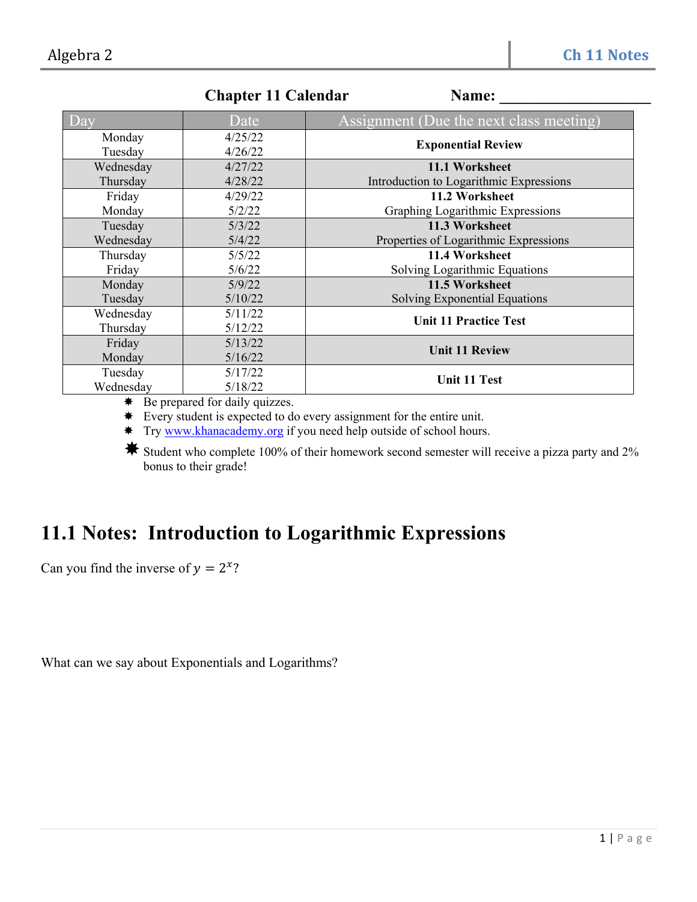|           | Unapwi 11 Uaithuai | таше.                                   |
|-----------|--------------------|-----------------------------------------|
| $\log$    | Date               | Assignment (Due the next class meeting) |
| Monday    | 4/25/22            |                                         |
| Tuesday   | 4/26/22            | <b>Exponential Review</b>               |
| Wednesday | 4/27/22            | 11.1 Worksheet                          |
| Thursday  | 4/28/22            | Introduction to Logarithmic Expressions |
| Friday    | 4/29/22            | 11.2 Worksheet                          |
| Monday    | 5/2/22             | Graphing Logarithmic Expressions        |
| Tuesday   | 5/3/22             | 11.3 Worksheet                          |
| Wednesday | 5/4/22             | Properties of Logarithmic Expressions   |
| Thursday  | 5/5/22             | 11.4 Worksheet                          |
| Friday    | 5/6/22             | Solving Logarithmic Equations           |
| Monday    | 5/9/22             | 11.5 Worksheet                          |
| Tuesday   | 5/10/22            | Solving Exponential Equations           |
| Wednesday | 5/11/22            | <b>Unit 11 Practice Test</b>            |
| Thursday  | 5/12/22            |                                         |
| Friday    | 5/13/22            | <b>Unit 11 Review</b>                   |
| Monday    | 5/16/22            |                                         |
| Tuesday   | 5/17/22            | <b>Unit 11 Test</b>                     |
| Wednesday | 5/18/22            |                                         |

**Chapter 11 Calendar** Name:

 $★$  Be prepared for daily quizzes.

Every student is expected to do every assignment for the entire unit.

\* Try www.khanacademy.org if you need help outside of school hours.

Student who complete 100% of their homework second semester will receive a pizza party and 2% bonus to their grade!

## **11.1 Notes: Introduction to Logarithmic Expressions**

Can you find the inverse of  $y = 2^x$ ?

What can we say about Exponentials and Logarithms?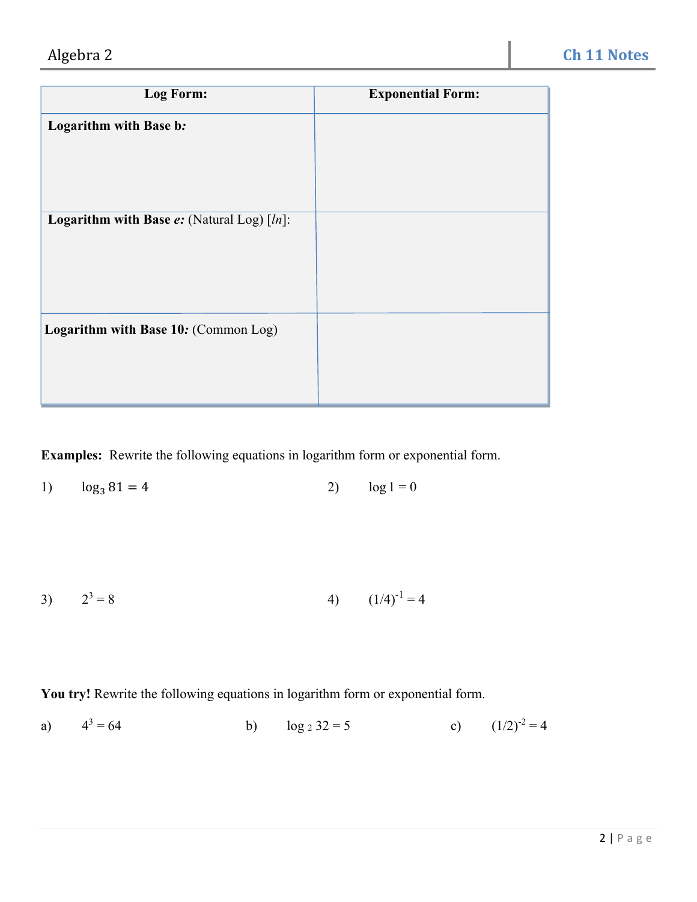| Log Form:                                            | <b>Exponential Form:</b> |
|------------------------------------------------------|--------------------------|
| Logarithm with Base b:                               |                          |
|                                                      |                          |
| <b>Logarithm with Base e:</b> (Natural Log) $[ln]$ : |                          |
|                                                      |                          |
| Logarithm with Base 10: (Common Log)                 |                          |
|                                                      |                          |

**Examples:** Rewrite the following equations in logarithm form or exponential form.

1)  $\log_3 81 = 4$  2)  $\log 1 = 0$ 

3) 
$$
2^3 = 8
$$
 4)  $(1/4)^{-1} = 4$ 

**You try!** Rewrite the following equations in logarithm form or exponential form.

a)  $4^3 = 64$ b)  $\log_2 32 = 5$  c)  $(1/2)^{-2} = 4$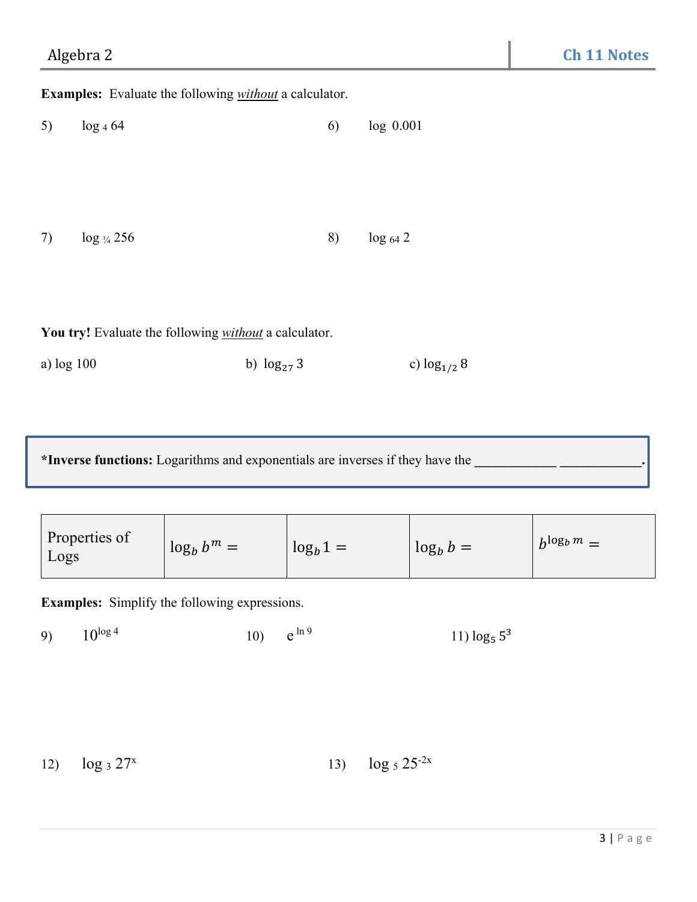**Examples:** Evaluate the following *without* a calculator.

| 5) | $log_4 64$     | 6) | log 0.001    |
|----|----------------|----|--------------|
|    |                |    |              |
|    |                |    |              |
|    |                |    |              |
| 7) | $\log y_4 256$ | 8) | $log_{64} 2$ |
|    |                |    |              |

**You try!** Evaluate the following *without* a calculator.

a) log 100 b) log<sub>27</sub> 3 c) log<sub>1/2</sub> 8

**\*Inverse functions:** Logarithms and exponentials are inverses if they have the **\_\_\_\_\_\_\_\_\_\_\_\_ \_\_\_\_\_\_\_\_\_\_\_\_.** 

| Properties of<br>Logs | $\log_b b^m =$ | $\log_b 1 =$ | $\log_b b =$ | $b^{\log_b m} =$ |
|-----------------------|----------------|--------------|--------------|------------------|
|-----------------------|----------------|--------------|--------------|------------------|

**Examples:** Simplify the following expressions.

9)  $10^{\log 4}$  10)  $e^{\ln 9}$  11)  $\log_5 5^3$ 

12)  $\log_3 27^x$  13)  $\log_5 25^{-2x}$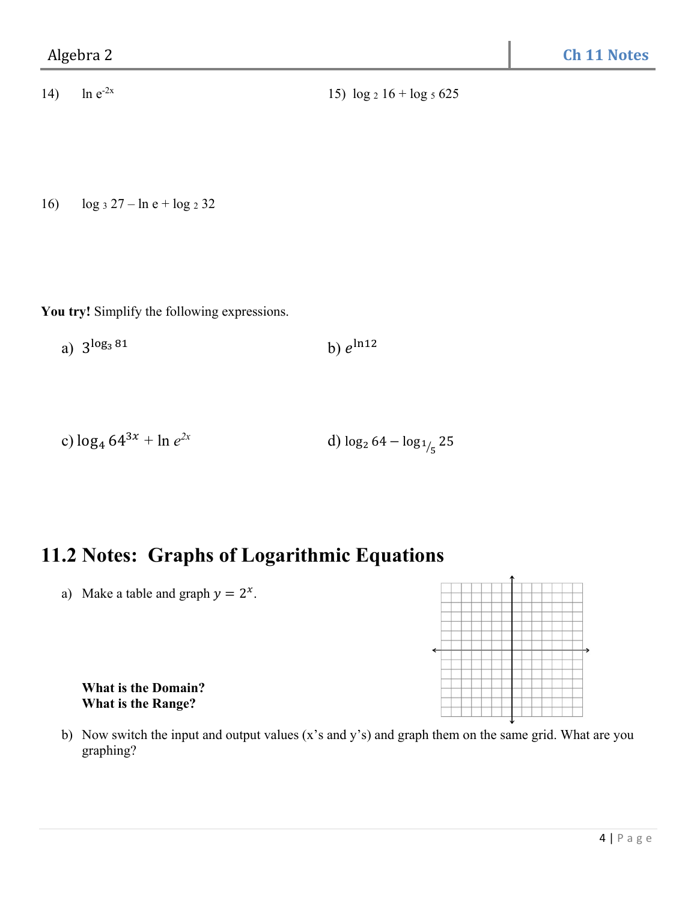16)  $\log_3 27 - \ln e + \log_2 32$ 

**You try!** Simplify the following expressions.

a)  $3^{\log_3 81}$  b)  $e^{\ln 12}$ 

c) 
$$
\log_4 64^{3x} + \ln e^{2x}
$$
 d)  $\log_2 64 - \log_{1/5} 25$ 

## **11.2 Notes: Graphs of Logarithmic Equations**

a) Make a table and graph  $y = 2^x$ .



 **What is the Domain? What is the Range?** 

b) Now switch the input and output values (x's and y's) and graph them on the same grid. What are you graphing?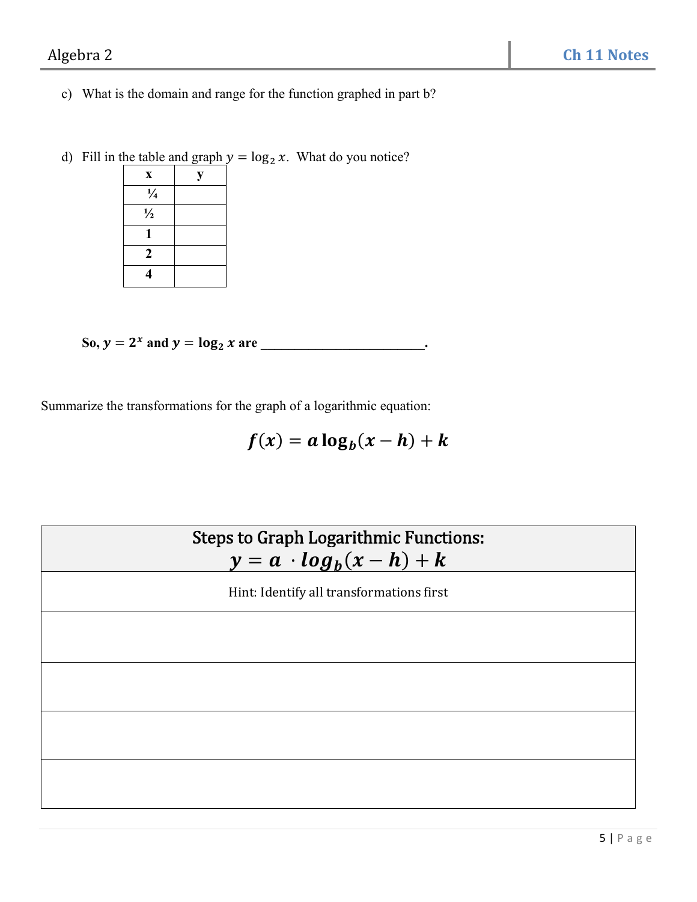- c) What is the domain and range for the function graphed in part b?
- d) Fill in the table and graph  $y = \log_2 x$ . What do you notice?

| X              | у |
|----------------|---|
| $\frac{1}{4}$  |   |
| $\frac{1}{2}$  |   |
| 1              |   |
| $\overline{2}$ |   |
| 4              |   |

So,  $y = 2^x$  and  $y = \log_2 x$  are \_\_\_\_\_\_\_\_\_\_\_\_\_\_\_\_\_\_\_\_\_\_\_.

Summarize the transformations for the graph of a logarithmic equation:

$$
f(x) = a \log_b(x - h) + k
$$

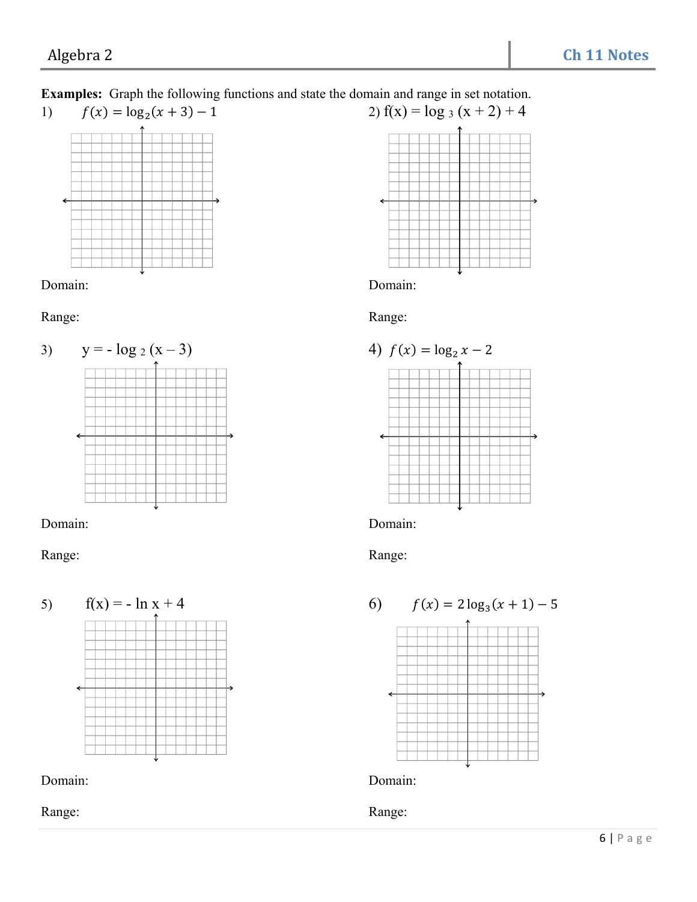## **Examples:** Graph the following functions and state the domain and range in set notation. 1)  $f(x) = \log_2(x+3) - 1$  2)  $f(x) = \log_3(x+2) + 4$



#### Domain: Domain:

Range: Range: Range: Range: Range: Range: Range: Range: Range: Range: Range: Range: Range: Range: Range: Range: Range:  $\mathbb{R}$ 



### Domain: Domain:

Range: Range: Range: Range: Range: Range: Range: Range: Range: Range: Range: Range: Range: Range: Range: Range:  $\alpha$ 













### Range: Range: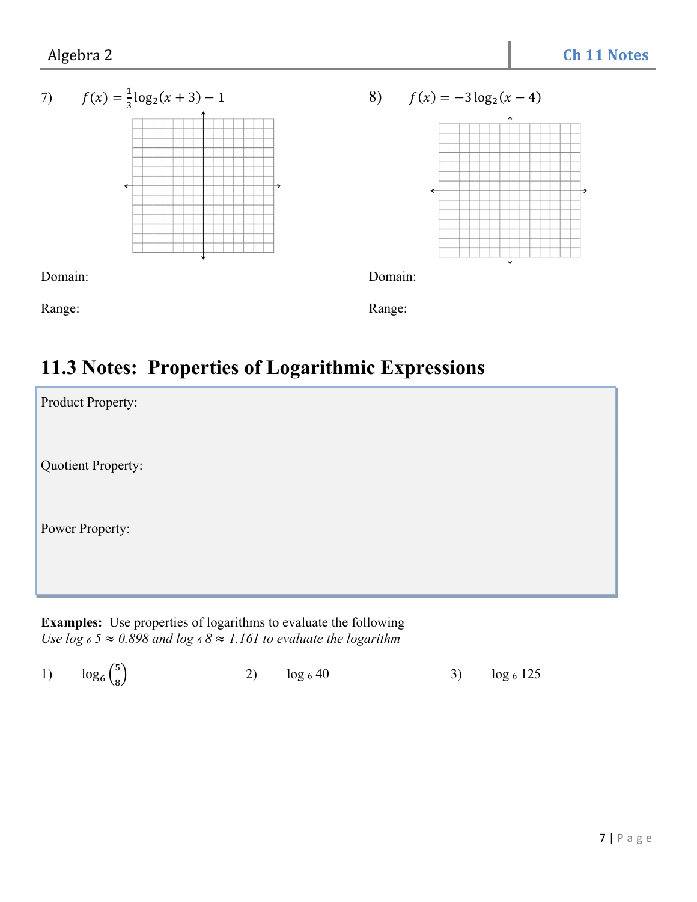

# **11.3 Notes: Properties of Logarithmic Expressions**

| Product Property:  |  |
|--------------------|--|
| Quotient Property: |  |
| Power Property:    |  |
|                    |  |

**Examples:** Use properties of logarithms to evaluate the following *Use*  $\log 65 \approx 0.898$  *and*  $\log 68 \approx 1.161$  *to evaluate the logarithm* 

|  | 1) $\log_6(\frac{5}{8})$ | 2) $\log_6 40$ |  | 3) $\log_6 125$ |
|--|--------------------------|----------------|--|-----------------|
|--|--------------------------|----------------|--|-----------------|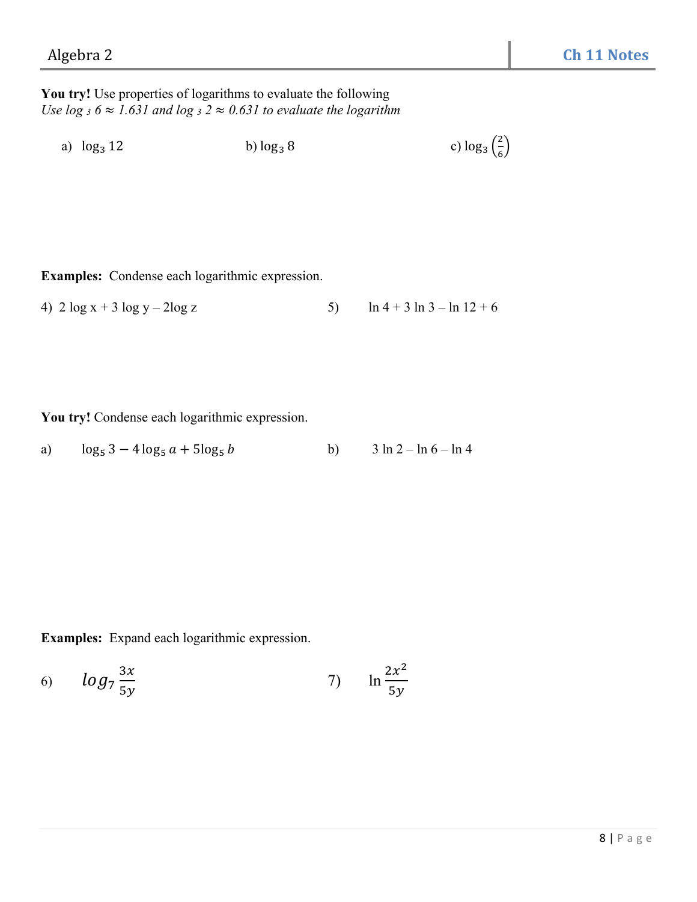**You try!** Use properties of logarithms to evaluate the following *Use*  $\log_3 6 \approx 1.631$  *and*  $\log_3 2 \approx 0.631$  *to evaluate the logarithm* 

a)  $\log_3 12$  b)  $\log_3 8$ 2  $\frac{2}{6}$ 

**Examples:** Condense each logarithmic expression.

4)  $2 \log x + 3 \log y - 2 \log z$  5)  $\ln 4 + 3 \ln 3 - \ln 12 + 6$ 

**You try!** Condense each logarithmic expression.

a) 
$$
\log_5 3 - 4 \log_5 a + 5 \log_5 b
$$
 b)  $3 \ln 2 - \ln 6 - \ln 4$ 

**Examples:** Expand each logarithmic expression.

6) 
$$
\log_7 \frac{3x}{5y}
$$
   
7)  $\ln \frac{2x^2}{5y}$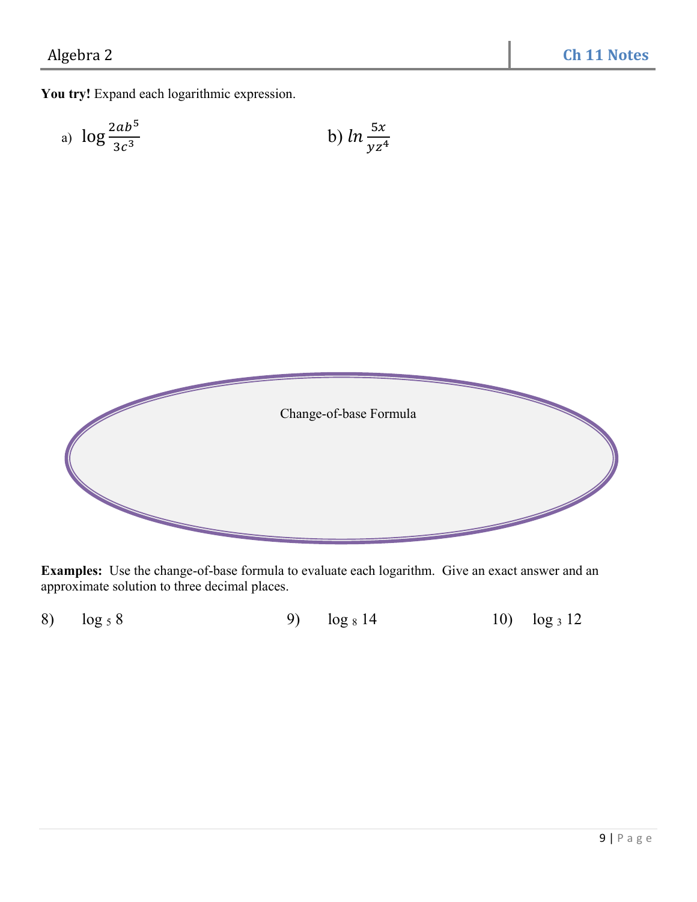**You try!** Expand each logarithmic expression.

a) 
$$
\log \frac{2ab^5}{3c^3}
$$
 \t\t b)  $\ln \frac{5x}{yz^4}$ 



**Examples:** Use the change-of-base formula to evaluate each logarithm. Give an exact answer and an approximate solution to three decimal places.

|  |  | 8) $\log_5 8$ |  | 9) $\log_8 14$ |  | 10) $\log_3 12$ |
|--|--|---------------|--|----------------|--|-----------------|
|--|--|---------------|--|----------------|--|-----------------|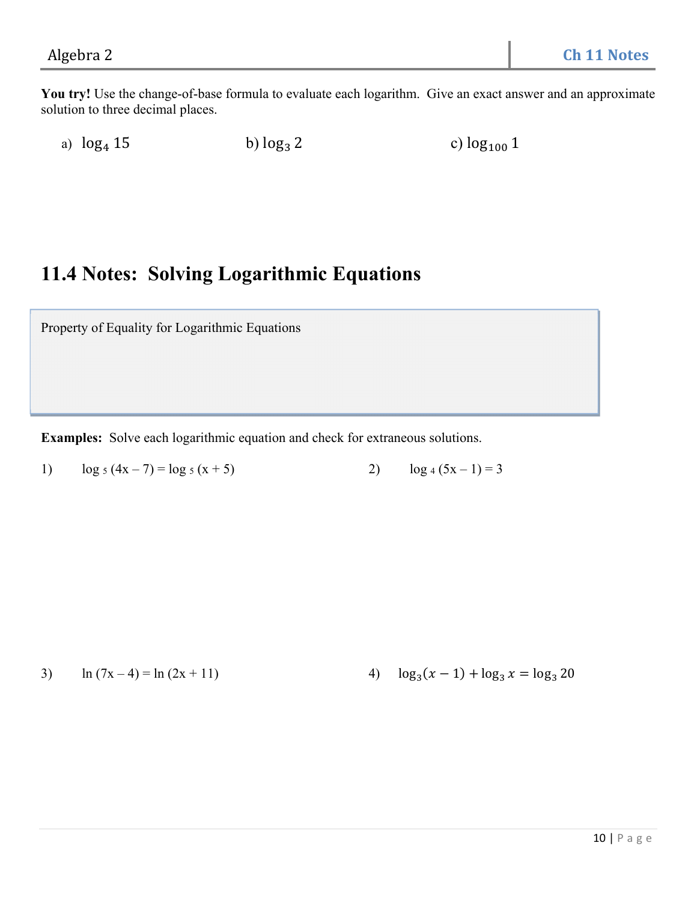**You try!** Use the change-of-base formula to evaluate each logarithm. Give an exact answer and an approximate solution to three decimal places.

a)  $\log_4 15$  b)  $\log_3 2$  c)  $\log_{100} 1$ 

## **11.4 Notes: Solving Logarithmic Equations**

Property of Equality for Logarithmic Equations

**Examples:** Solve each logarithmic equation and check for extraneous solutions.

1)  $\log_5 (4x - 7) = \log_5 (x + 5)$  2)  $\log_4 (5x - 1) = 3$ 

3)  $\ln (7x-4) = \ln (2x + 11)$  4)  $\log_3(x - 1) + \log_3 x = \log_3 20$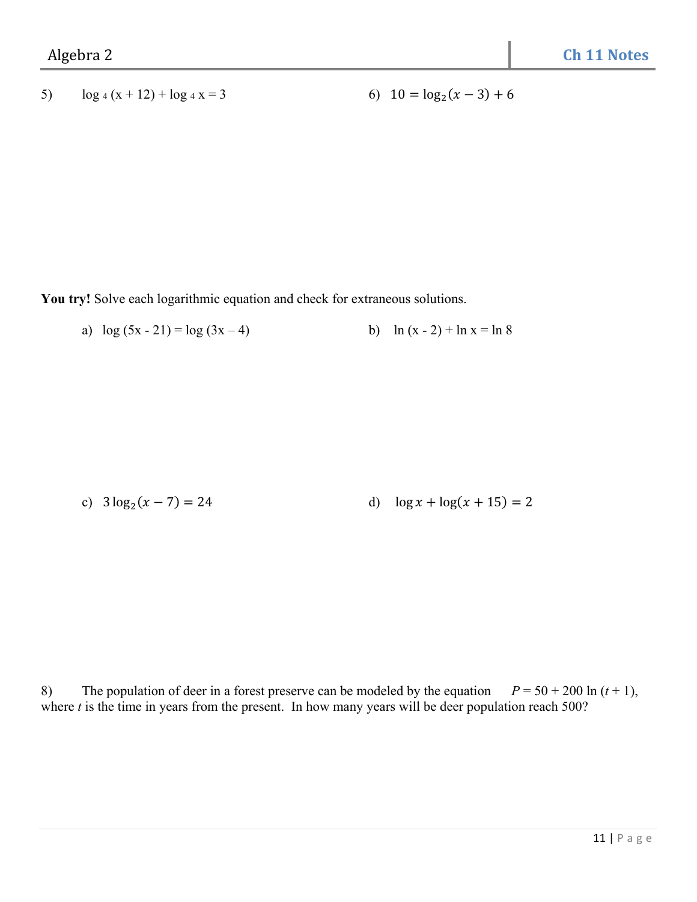## 5)  $\log_4(x+12) + \log_4 x = 3$  6)  $10 = \log_2(x-3) + 6$

**You try!** Solve each logarithmic equation and check for extraneous solutions.

a)  $\log (5x - 21) = \log (3x - 4)$  b)  $\ln (x - 2) + \ln x = \ln 8$ 

c) 
$$
3\log_2(x-7) = 24
$$
 d)  $\log x + \log(x+15) = 2$ 

8) The population of deer in a forest preserve can be modeled by the equation  $P = 50 + 200 \ln (t + 1)$ , where *t* is the time in years from the present. In how many years will be deer population reach 500?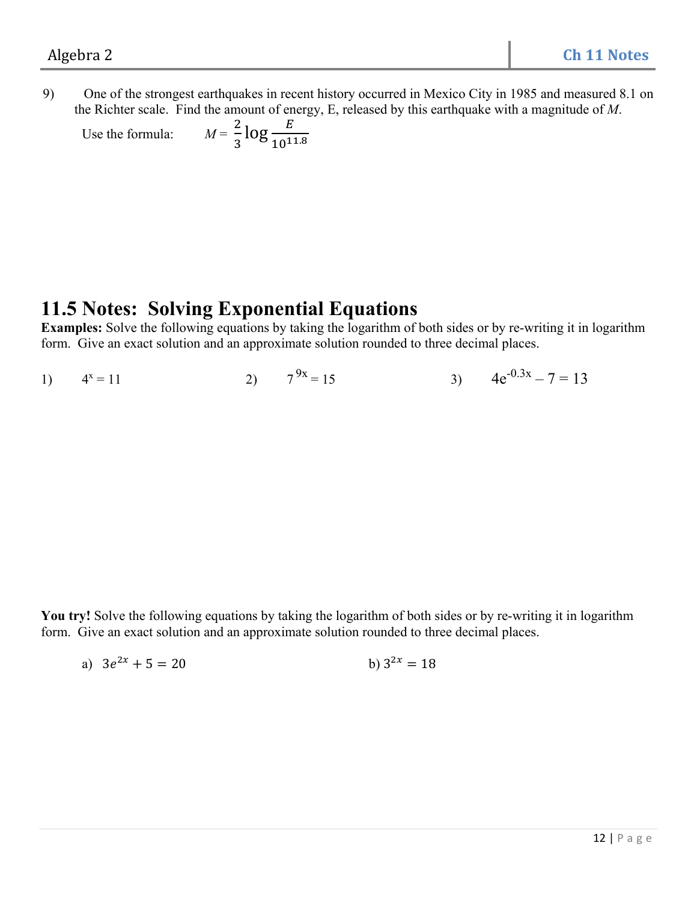9) One of the strongest earthquakes in recent history occurred in Mexico City in 1985 and measured 8.1 on the Richter scale. Find the amount of energy, E, released by this earthquake with a magnitude of *M*.

Use the formula:  $\frac{2}{3}$  log  $\frac{E}{10^{11.8}}$ 

## **11.5 Notes: Solving Exponential Equations**

**Examples:** Solve the following equations by taking the logarithm of both sides or by re-writing it in logarithm form. Give an exact solution and an approximate solution rounded to three decimal places.

1)  $4^x = 11$ 2)  $7^{9x} = 15$  3)  $4e^{-0.3x} - 7 = 13$ 

You try! Solve the following equations by taking the logarithm of both sides or by re-writing it in logarithm form. Give an exact solution and an approximate solution rounded to three decimal places.

a) 
$$
3e^{2x} + 5 = 20
$$
 b)  $3^{2x} = 18$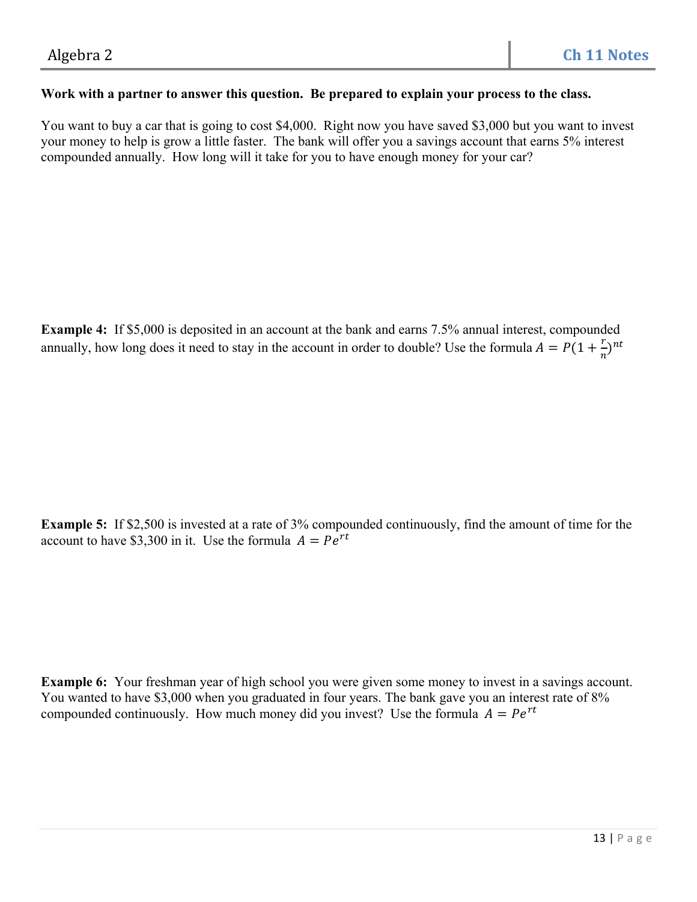#### **Work with a partner to answer this question. Be prepared to explain your process to the class.**

You want to buy a car that is going to cost \$4,000. Right now you have saved \$3,000 but you want to invest your money to help is grow a little faster. The bank will offer you a savings account that earns 5% interest compounded annually. How long will it take for you to have enough money for your car?

**Example 4:** If \$5,000 is deposited in an account at the bank and earns 7.5% annual interest, compounded annually, how long does it need to stay in the account in order to double? Use the formula  $A = P(1 + \frac{r}{n})^{nt}$ 

**Example 5:** If \$2,500 is invested at a rate of 3% compounded continuously, find the amount of time for the account to have \$3,300 in it. Use the formula  $A = Pe^{rt}$ 

**Example 6:** Your freshman year of high school you were given some money to invest in a savings account. You wanted to have \$3,000 when you graduated in four years. The bank gave you an interest rate of 8% compounded continuously. How much money did you invest? Use the formula  $A = Pe^{rt}$